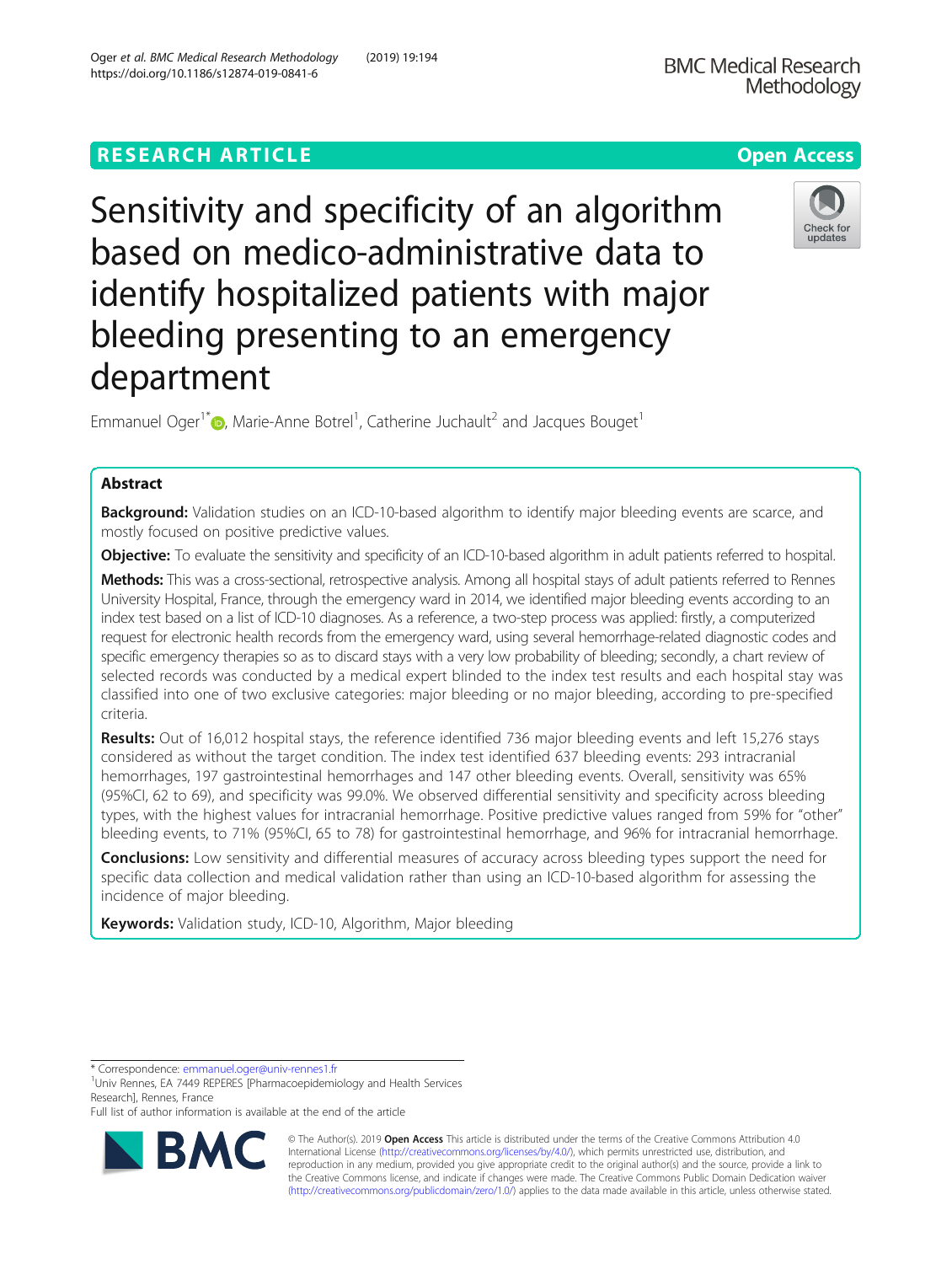## **RESEARCH ARTICLE Example 2014 12:30 The Contract of Contract ACCESS**

Sensitivity and specificity of an algorithm based on medico-administrative data to identify hospitalized patients with major bleeding presenting to an emergency department

Emmanuel Oger<sup>1\*</sup> $\bullet$ [,](http://orcid.org/0000-0001-9837-2977) Marie-Anne Botrel<sup>1</sup>, Catherine Juchault<sup>2</sup> and Jacques Bouget<sup>1</sup>

## Abstract

Background: Validation studies on an ICD-10-based algorithm to identify major bleeding events are scarce, and mostly focused on positive predictive values.

**Objective:** To evaluate the sensitivity and specificity of an ICD-10-based algorithm in adult patients referred to hospital.

Methods: This was a cross-sectional, retrospective analysis. Among all hospital stays of adult patients referred to Rennes University Hospital, France, through the emergency ward in 2014, we identified major bleeding events according to an index test based on a list of ICD-10 diagnoses. As a reference, a two-step process was applied: firstly, a computerized request for electronic health records from the emergency ward, using several hemorrhage-related diagnostic codes and specific emergency therapies so as to discard stays with a very low probability of bleeding; secondly, a chart review of selected records was conducted by a medical expert blinded to the index test results and each hospital stay was classified into one of two exclusive categories: major bleeding or no major bleeding, according to pre-specified criteria.

Results: Out of 16,012 hospital stays, the reference identified 736 major bleeding events and left 15,276 stays considered as without the target condition. The index test identified 637 bleeding events: 293 intracranial hemorrhages, 197 gastrointestinal hemorrhages and 147 other bleeding events. Overall, sensitivity was 65% (95%CI, 62 to 69), and specificity was 99.0%. We observed differential sensitivity and specificity across bleeding types, with the highest values for intracranial hemorrhage. Positive predictive values ranged from 59% for "other" bleeding events, to 71% (95%CI, 65 to 78) for gastrointestinal hemorrhage, and 96% for intracranial hemorrhage.

**Conclusions:** Low sensitivity and differential measures of accuracy across bleeding types support the need for specific data collection and medical validation rather than using an ICD-10-based algorithm for assessing the incidence of major bleeding.

Keywords: Validation study, ICD-10, Algorithm, Major bleeding

\* Correspondence: [emmanuel.oger@univ-rennes1.fr](mailto:emmanuel.oger@univ-rennes1.fr) <sup>1</sup>

<sup>1</sup>Univ Rennes, EA 7449 REPERES [Pharmacoepidemiology and Health Services Research], Rennes, France

Full list of author information is available at the end of the article

© The Author(s). 2019 **Open Access** This article is distributed under the terms of the Creative Commons Attribution 4.0 International License [\(http://creativecommons.org/licenses/by/4.0/](http://creativecommons.org/licenses/by/4.0/)), which permits unrestricted use, distribution, and reproduction in any medium, provided you give appropriate credit to the original author(s) and the source, provide a link to the Creative Commons license, and indicate if changes were made. The Creative Commons Public Domain Dedication waiver [\(http://creativecommons.org/publicdomain/zero/1.0/](http://creativecommons.org/publicdomain/zero/1.0/)) applies to the data made available in this article, unless otherwise stated.



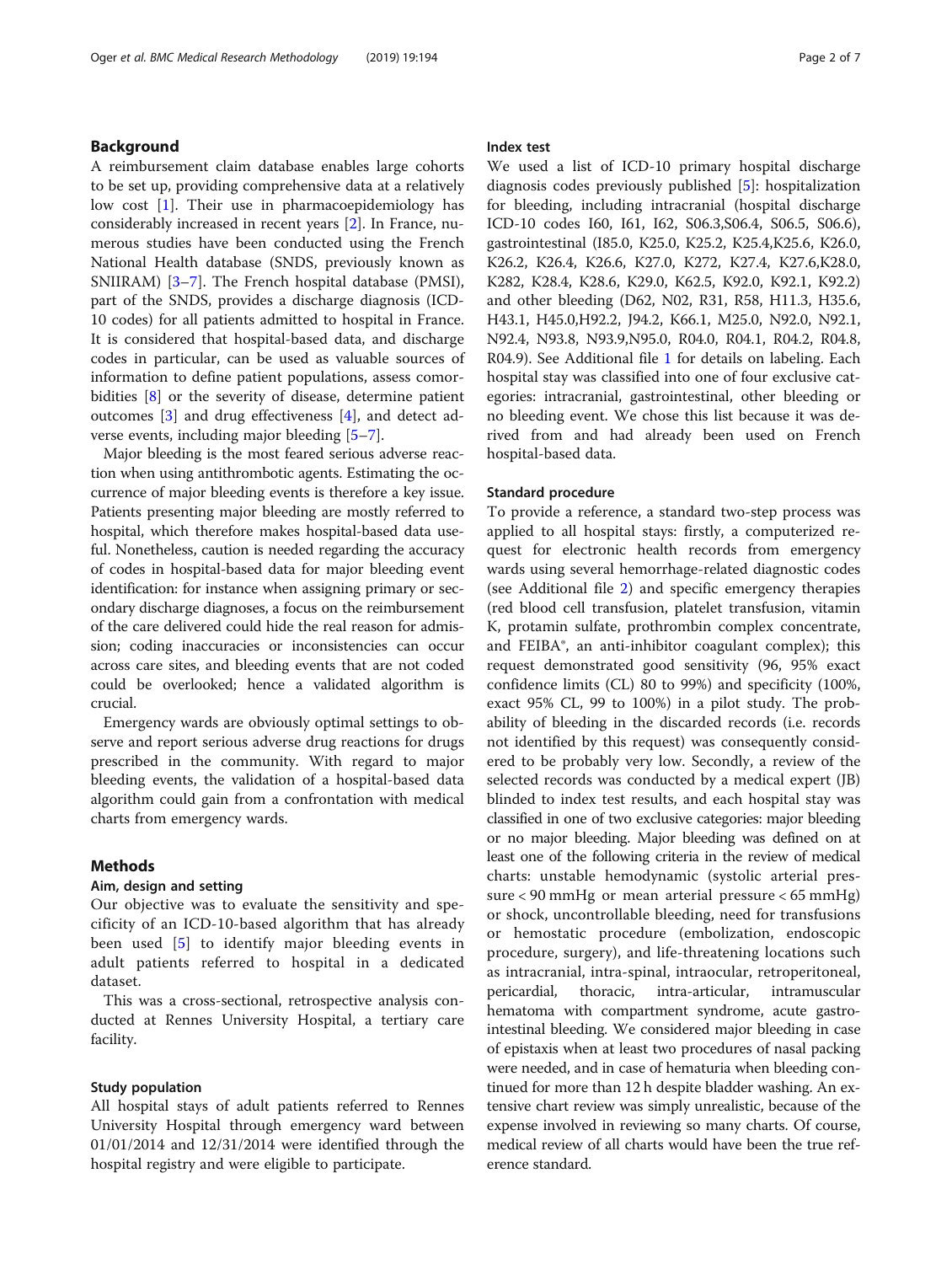## Background

A reimbursement claim database enables large cohorts to be set up, providing comprehensive data at a relatively low cost [\[1](#page-6-0)]. Their use in pharmacoepidemiology has considerably increased in recent years [[2](#page-6-0)]. In France, numerous studies have been conducted using the French National Health database (SNDS, previously known as SNIIRAM) [[3](#page-6-0)–[7\]](#page-6-0). The French hospital database (PMSI), part of the SNDS, provides a discharge diagnosis (ICD-10 codes) for all patients admitted to hospital in France. It is considered that hospital-based data, and discharge codes in particular, can be used as valuable sources of information to define patient populations, assess comorbidities [\[8](#page-6-0)] or the severity of disease, determine patient outcomes [\[3](#page-6-0)] and drug effectiveness [\[4](#page-6-0)], and detect adverse events, including major bleeding [\[5](#page-6-0)–[7](#page-6-0)].

Major bleeding is the most feared serious adverse reaction when using antithrombotic agents. Estimating the occurrence of major bleeding events is therefore a key issue. Patients presenting major bleeding are mostly referred to hospital, which therefore makes hospital-based data useful. Nonetheless, caution is needed regarding the accuracy of codes in hospital-based data for major bleeding event identification: for instance when assigning primary or secondary discharge diagnoses, a focus on the reimbursement of the care delivered could hide the real reason for admission; coding inaccuracies or inconsistencies can occur across care sites, and bleeding events that are not coded could be overlooked; hence a validated algorithm is crucial.

Emergency wards are obviously optimal settings to observe and report serious adverse drug reactions for drugs prescribed in the community. With regard to major bleeding events, the validation of a hospital-based data algorithm could gain from a confrontation with medical charts from emergency wards.

#### Methods

#### Aim, design and setting

Our objective was to evaluate the sensitivity and specificity of an ICD-10-based algorithm that has already been used [\[5](#page-6-0)] to identify major bleeding events in adult patients referred to hospital in a dedicated dataset.

This was a cross-sectional, retrospective analysis conducted at Rennes University Hospital, a tertiary care facility.

## Study population

All hospital stays of adult patients referred to Rennes University Hospital through emergency ward between 01/01/2014 and 12/31/2014 were identified through the hospital registry and were eligible to participate.

## Index test

We used a list of ICD-10 primary hospital discharge diagnosis codes previously published [[5\]](#page-6-0): hospitalization for bleeding, including intracranial (hospital discharge ICD-10 codes I60, I61, I62, S06.3,S06.4, S06.5, S06.6), gastrointestinal (I85.0, K25.0, K25.2, K25.4,K25.6, K26.0, K26.2, K26.4, K26.6, K27.0, K272, K27.4, K27.6,K28.0, K282, K28.4, K28.6, K29.0, K62.5, K92.0, K92.1, K92.2) and other bleeding (D62, N02, R31, R58, H11.3, H35.6, H43.1, H45.0,H92.2, J94.2, K66.1, M25.0, N92.0, N92.1, N92.4, N93.8, N93.9,N95.0, R04.0, R04.1, R04.2, R04.8, R04.9). See Additional file [1](#page-5-0) for details on labeling. Each hospital stay was classified into one of four exclusive categories: intracranial, gastrointestinal, other bleeding or no bleeding event. We chose this list because it was derived from and had already been used on French hospital-based data.

#### Standard procedure

To provide a reference, a standard two-step process was applied to all hospital stays: firstly, a computerized request for electronic health records from emergency wards using several hemorrhage-related diagnostic codes (see Additional file [2](#page-5-0)) and specific emergency therapies (red blood cell transfusion, platelet transfusion, vitamin K, protamin sulfate, prothrombin complex concentrate, and FEIBA®, an anti-inhibitor coagulant complex); this request demonstrated good sensitivity (96, 95% exact confidence limits (CL) 80 to 99%) and specificity (100%, exact 95% CL, 99 to 100%) in a pilot study. The probability of bleeding in the discarded records (i.e. records not identified by this request) was consequently considered to be probably very low. Secondly, a review of the selected records was conducted by a medical expert (JB) blinded to index test results, and each hospital stay was classified in one of two exclusive categories: major bleeding or no major bleeding. Major bleeding was defined on at least one of the following criteria in the review of medical charts: unstable hemodynamic (systolic arterial pressure < 90 mmHg or mean arterial pressure < 65 mmHg) or shock, uncontrollable bleeding, need for transfusions or hemostatic procedure (embolization, endoscopic procedure, surgery), and life-threatening locations such as intracranial, intra-spinal, intraocular, retroperitoneal, pericardial, thoracic, intra-articular, intramuscular hematoma with compartment syndrome, acute gastrointestinal bleeding. We considered major bleeding in case of epistaxis when at least two procedures of nasal packing were needed, and in case of hematuria when bleeding continued for more than 12 h despite bladder washing. An extensive chart review was simply unrealistic, because of the expense involved in reviewing so many charts. Of course, medical review of all charts would have been the true reference standard.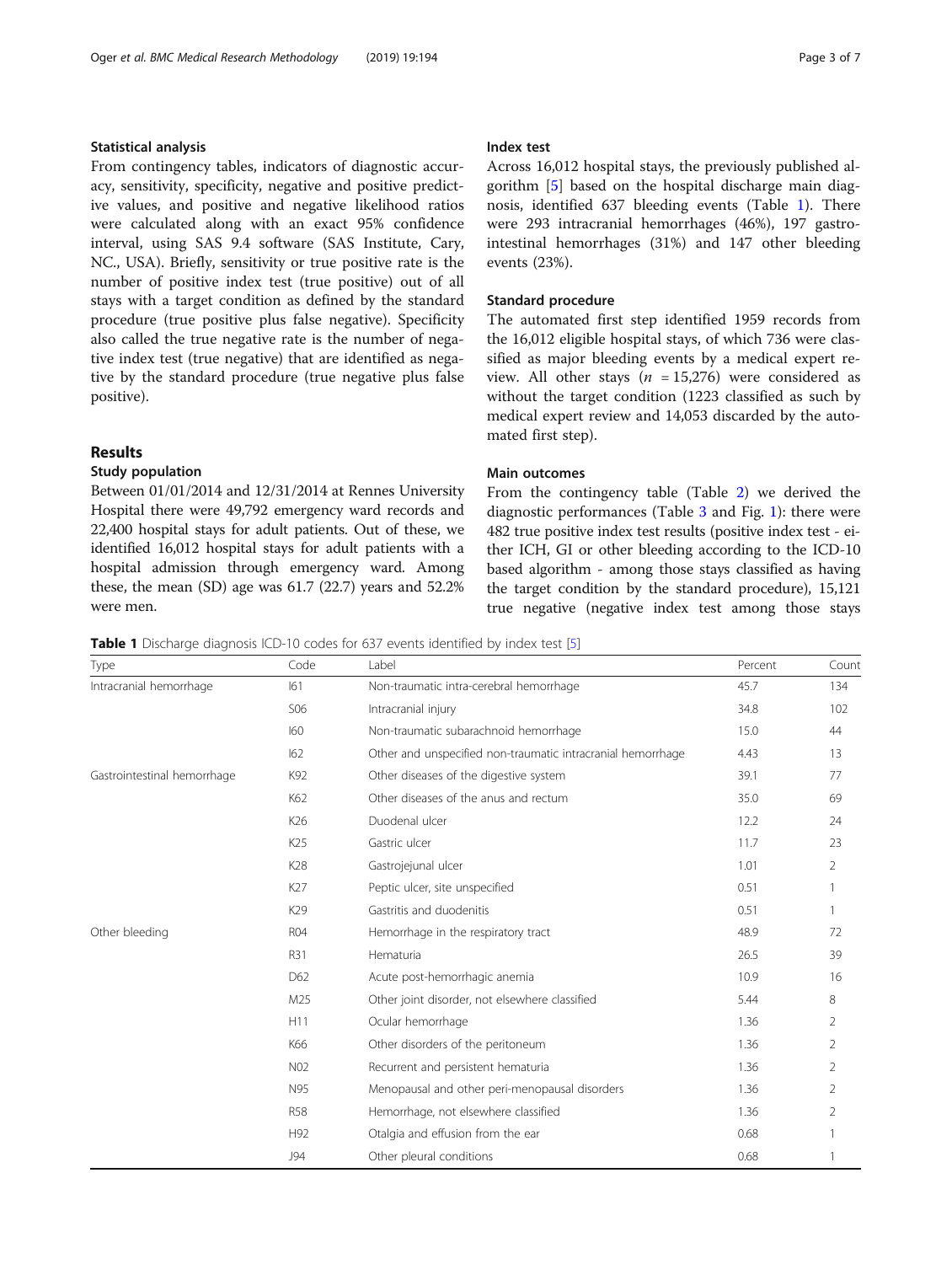## Statistical analysis

From contingency tables, indicators of diagnostic accuracy, sensitivity, specificity, negative and positive predictive values, and positive and negative likelihood ratios were calculated along with an exact 95% confidence interval, using SAS 9.4 software (SAS Institute, Cary, NC., USA). Briefly, sensitivity or true positive rate is the number of positive index test (true positive) out of all stays with a target condition as defined by the standard procedure (true positive plus false negative). Specificity also called the true negative rate is the number of negative index test (true negative) that are identified as negative by the standard procedure (true negative plus false positive).

## Results

## Study population

Between 01/01/2014 and 12/31/2014 at Rennes University Hospital there were 49,792 emergency ward records and 22,400 hospital stays for adult patients. Out of these, we identified 16,012 hospital stays for adult patients with a hospital admission through emergency ward. Among these, the mean (SD) age was 61.7 (22.7) years and 52.2% were men.

## Index test

Across 16,012 hospital stays, the previously published algorithm [[5\]](#page-6-0) based on the hospital discharge main diagnosis, identified 637 bleeding events (Table 1). There were 293 intracranial hemorrhages (46%), 197 gastrointestinal hemorrhages (31%) and 147 other bleeding events (23%).

## Standard procedure

The automated first step identified 1959 records from the 16,012 eligible hospital stays, of which 736 were classified as major bleeding events by a medical expert review. All other stays ( $n = 15,276$ ) were considered as without the target condition (1223 classified as such by medical expert review and 14,053 discarded by the automated first step).

## Main outcomes

From the contingency table (Table [2\)](#page-3-0) we derived the diagnostic performances (Table [3](#page-3-0) and Fig. [1](#page-4-0)): there were 482 true positive index test results (positive index test - either ICH, GI or other bleeding according to the ICD-10 based algorithm - among those stays classified as having the target condition by the standard procedure), 15,121 true negative (negative index test among those stays

Table 1 Discharge diagnosis ICD-10 codes for 637 events identified by index test [[5](#page-6-0)]

| Type                        | Code            | Label                                                       | Percent | Count          |
|-----------------------------|-----------------|-------------------------------------------------------------|---------|----------------|
| Intracranial hemorrhage     | 61              | Non-traumatic intra-cerebral hemorrhage                     | 45.7    | 134            |
|                             | <b>SO6</b>      | Intracranial injury                                         | 34.8    | 102            |
|                             | 160             | Non-traumatic subarachnoid hemorrhage                       | 15.0    | 44             |
|                             | 162             | Other and unspecified non-traumatic intracranial hemorrhage | 4.43    | 13             |
| Gastrointestinal hemorrhage | K92             | Other diseases of the digestive system                      | 39.1    | 77             |
|                             | K62             | Other diseases of the anus and rectum                       | 35.0    | 69             |
|                             | K26             | Duodenal ulcer                                              | 12.2    | 24             |
|                             | K <sub>25</sub> | Gastric ulcer                                               | 11.7    | 23             |
|                             | K28             | Gastrojejunal ulcer                                         | 1.01    | 2              |
|                             | K27             | Peptic ulcer, site unspecified                              | 0.51    |                |
|                             | K29             | Gastritis and duodenitis                                    | 0.51    |                |
| Other bleeding              | <b>R04</b>      | Hemorrhage in the respiratory tract                         | 48.9    | 72             |
|                             | R31             | Hematuria                                                   | 26.5    | 39             |
|                             | D62             | Acute post-hemorrhagic anemia                               | 10.9    | 16             |
|                             | M25             | Other joint disorder, not elsewhere classified              | 5.44    | 8              |
|                             | H11             | Ocular hemorrhage                                           | 1.36    | 2              |
|                             | K66             | Other disorders of the peritoneum                           | 1.36    | $\overline{2}$ |
|                             | N <sub>02</sub> | Recurrent and persistent hematuria                          | 1.36    | 2              |
|                             | N95             | Menopausal and other peri-menopausal disorders              | 1.36    | 2              |
|                             | <b>R58</b>      | Hemorrhage, not elsewhere classified                        | 1.36    | 2              |
|                             | H92             | Otalgia and effusion from the ear                           | 0.68    |                |
|                             | <b>J94</b>      | Other pleural conditions                                    | 0.68    | $\mathbf{1}$   |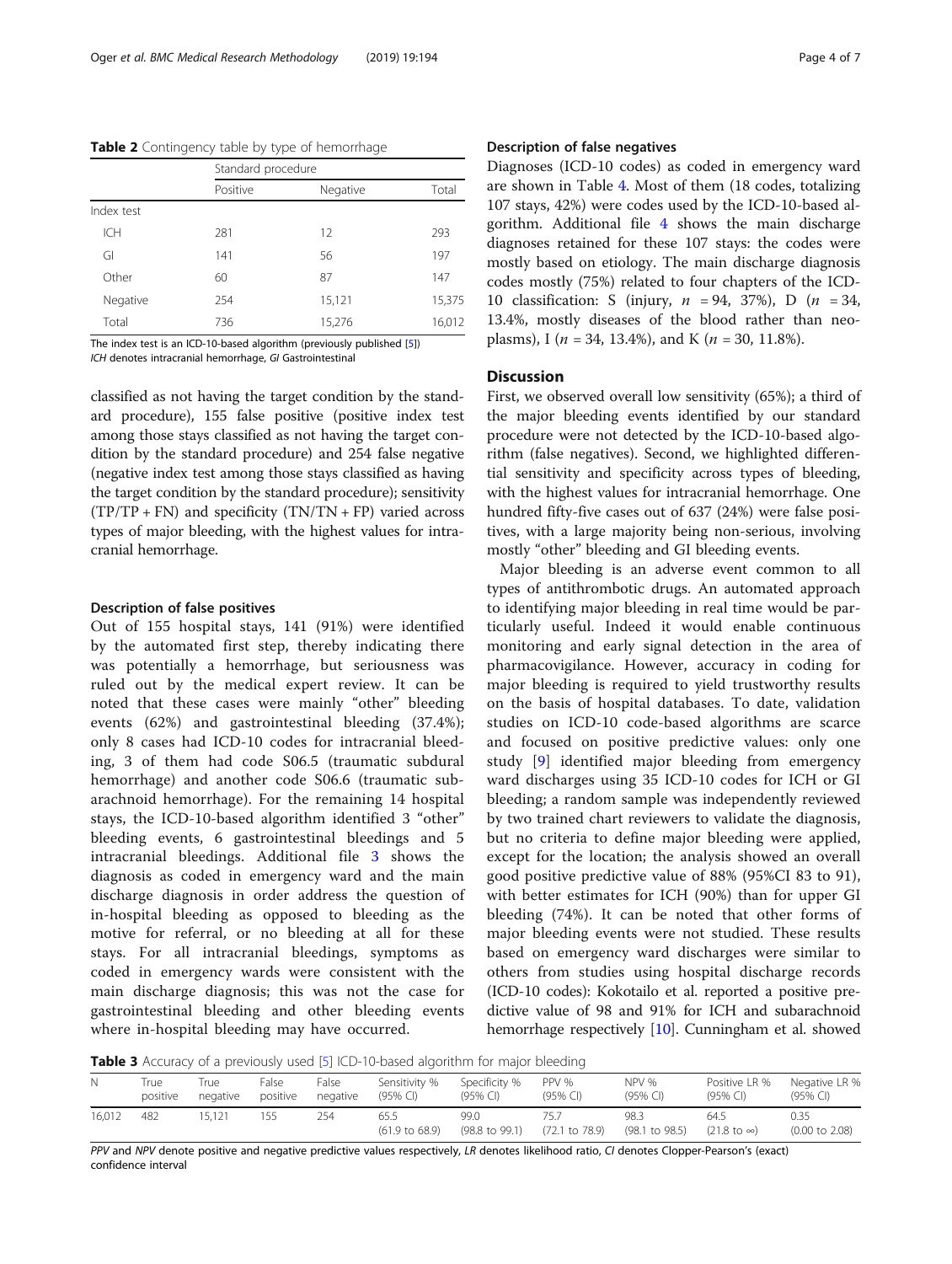<span id="page-3-0"></span>Table 2 Contingency table by type of hemorrhage

|            |          | Standard procedure |        |  |  |
|------------|----------|--------------------|--------|--|--|
|            | Positive | Negative           | Total  |  |  |
| Index test |          |                    |        |  |  |
| ICH        | 281      | 12                 | 293    |  |  |
| GI         | 141      | 56                 | 197    |  |  |
| Other      | 60       | 87                 | 147    |  |  |
| Negative   | 254      | 15,121             | 15,375 |  |  |
| Total      | 736      | 15,276             | 16,012 |  |  |

The index test is an ICD-10-based algorithm (previously published [[5](#page-6-0)]) ICH denotes intracranial hemorrhage, GI Gastrointestinal

classified as not having the target condition by the standard procedure), 155 false positive (positive index test among those stays classified as not having the target condition by the standard procedure) and 254 false negative (negative index test among those stays classified as having the target condition by the standard procedure); sensitivity  $(TP/TP + FN)$  and specificity  $(TN/TN + FP)$  varied across types of major bleeding, with the highest values for intracranial hemorrhage.

#### Description of false positives

Out of 155 hospital stays, 141 (91%) were identified by the automated first step, thereby indicating there was potentially a hemorrhage, but seriousness was ruled out by the medical expert review. It can be noted that these cases were mainly "other" bleeding events (62%) and gastrointestinal bleeding (37.4%); only 8 cases had ICD-10 codes for intracranial bleeding, 3 of them had code S06.5 (traumatic subdural hemorrhage) and another code S06.6 (traumatic subarachnoid hemorrhage). For the remaining 14 hospital stays, the ICD-10-based algorithm identified 3 "other" bleeding events, 6 gastrointestinal bleedings and 5 intracranial bleedings. Additional file [3](#page-5-0) shows the diagnosis as coded in emergency ward and the main discharge diagnosis in order address the question of in-hospital bleeding as opposed to bleeding as the motive for referral, or no bleeding at all for these stays. For all intracranial bleedings, symptoms as coded in emergency wards were consistent with the main discharge diagnosis; this was not the case for gastrointestinal bleeding and other bleeding events where in-hospital bleeding may have occurred.

#### Description of false negatives

Diagnoses (ICD-10 codes) as coded in emergency ward are shown in Table [4.](#page-4-0) Most of them (18 codes, totalizing 107 stays, 42%) were codes used by the ICD-10-based algorithm. Additional file [4](#page-5-0) shows the main discharge diagnoses retained for these 107 stays: the codes were mostly based on etiology. The main discharge diagnosis codes mostly (75%) related to four chapters of the ICD-10 classification: S (injury,  $n = 94$ , 37%), D ( $n = 34$ , 13.4%, mostly diseases of the blood rather than neoplasms), I ( $n = 34, 13.4\%$ ), and K ( $n = 30, 11.8\%$ ).

## **Discussion**

First, we observed overall low sensitivity (65%); a third of the major bleeding events identified by our standard procedure were not detected by the ICD-10-based algorithm (false negatives). Second, we highlighted differential sensitivity and specificity across types of bleeding, with the highest values for intracranial hemorrhage. One hundred fifty-five cases out of 637 (24%) were false positives, with a large majority being non-serious, involving mostly "other" bleeding and GI bleeding events.

Major bleeding is an adverse event common to all types of antithrombotic drugs. An automated approach to identifying major bleeding in real time would be particularly useful. Indeed it would enable continuous monitoring and early signal detection in the area of pharmacovigilance. However, accuracy in coding for major bleeding is required to yield trustworthy results on the basis of hospital databases. To date, validation studies on ICD-10 code-based algorithms are scarce and focused on positive predictive values: only one study [\[9](#page-6-0)] identified major bleeding from emergency ward discharges using 35 ICD-10 codes for ICH or GI bleeding; a random sample was independently reviewed by two trained chart reviewers to validate the diagnosis, but no criteria to define major bleeding were applied, except for the location; the analysis showed an overall good positive predictive value of 88% (95%CI 83 to 91), with better estimates for ICH (90%) than for upper GI bleeding (74%). It can be noted that other forms of major bleeding events were not studied. These results based on emergency ward discharges were similar to others from studies using hospital discharge records (ICD-10 codes): Kokotailo et al. reported a positive predictive value of 98 and 91% for ICH and subarachnoid hemorrhage respectively [[10\]](#page-6-0). Cunningham et al. showed

Table 3 Accuracy of a previously used [[5](#page-6-0)] ICD-10-based algorithm for major bleeding

| N      | True<br>positive | True<br>negative | False<br>positive | False<br>negative | Sensitivity %<br>(95% CI)         | Specificity %<br>(95% CI) | PPV %<br>$(95%$ CI)                                 | NPV %<br>$(95%$ CI)    | Positive LR %<br>$(95\%$ CI)        | Negative LR %<br>$(95%$ CI) |
|--------|------------------|------------------|-------------------|-------------------|-----------------------------------|---------------------------|-----------------------------------------------------|------------------------|-------------------------------------|-----------------------------|
| 16.012 | 482              | 15.121           | 155               | 254               | 65.5<br>$(61.9 \text{ to } 68.9)$ | 99.0                      | $(98.8 \text{ to } 99.1)$ $(72.1 \text{ to } 78.9)$ | 98.3<br>(98.1 to 98.5) | 64.5<br>$(21.8 \text{ to } \infty)$ | 0.35<br>(0.00 to 2.08)      |

PPV and NPV denote positive and negative predictive values respectively, LR denotes likelihood ratio, CI denotes Clopper-Pearson's (exact) confidence interval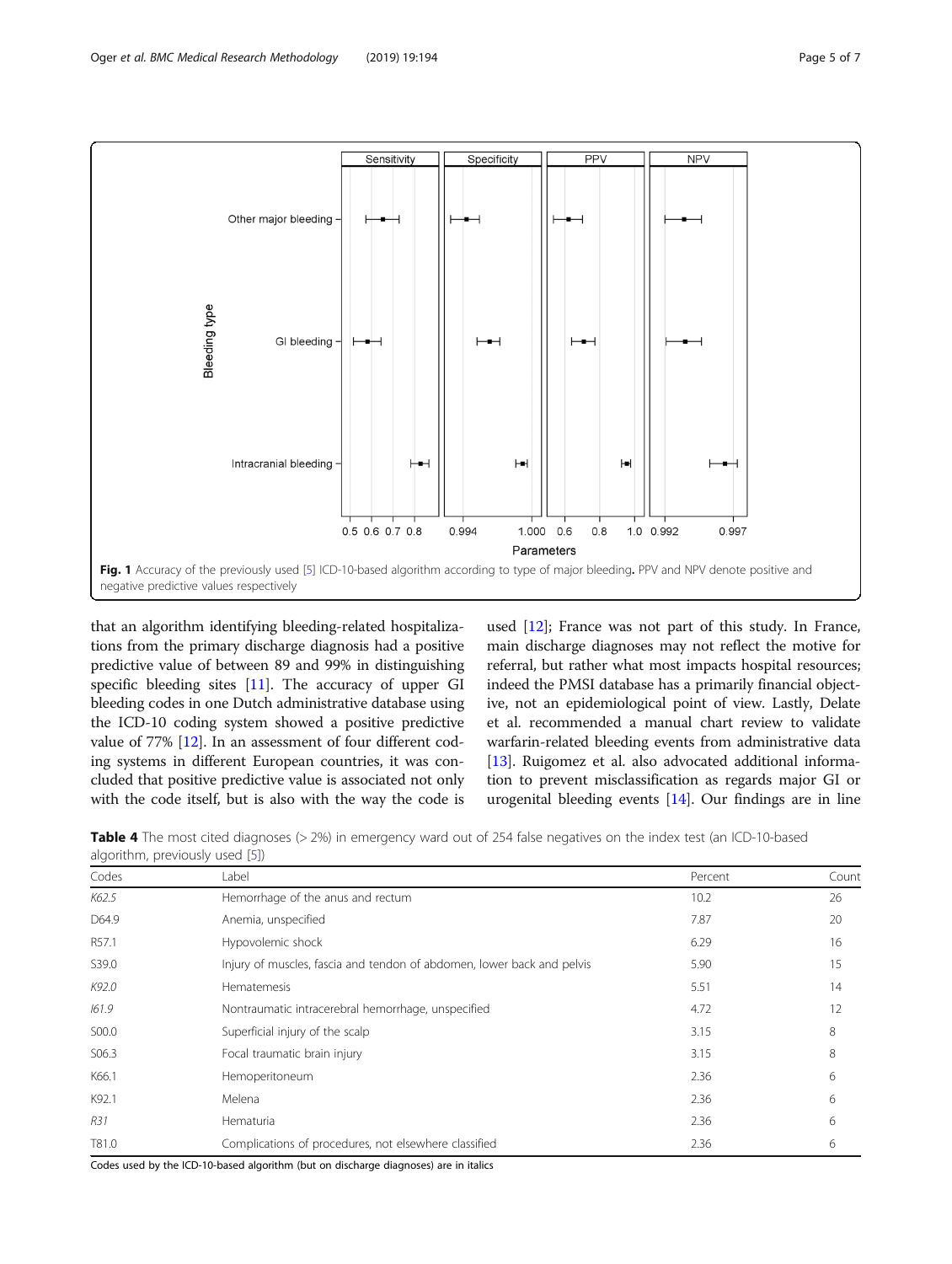<span id="page-4-0"></span>

that an algorithm identifying bleeding-related hospitalizations from the primary discharge diagnosis had a positive predictive value of between 89 and 99% in distinguishing specific bleeding sites [\[11\]](#page-6-0). The accuracy of upper GI bleeding codes in one Dutch administrative database using the ICD-10 coding system showed a positive predictive value of 77% [\[12](#page-6-0)]. In an assessment of four different coding systems in different European countries, it was concluded that positive predictive value is associated not only with the code itself, but is also with the way the code is

used [\[12](#page-6-0)]; France was not part of this study. In France, main discharge diagnoses may not reflect the motive for referral, but rather what most impacts hospital resources; indeed the PMSI database has a primarily financial objective, not an epidemiological point of view. Lastly, Delate et al. recommended a manual chart review to validate warfarin-related bleeding events from administrative data [[13](#page-6-0)]. Ruigomez et al. also advocated additional information to prevent misclassification as regards major GI or urogenital bleeding events [[14](#page-6-0)]. Our findings are in line

| Table 4 The most cited diagnoses (> 2%) in emergency ward out of 254 false negatives on the index test (an ICD-10-based |  |  |
|-------------------------------------------------------------------------------------------------------------------------|--|--|
| algorithm, previously used [5])                                                                                         |  |  |

| Codes | Label                                                                  | Percent | Count |
|-------|------------------------------------------------------------------------|---------|-------|
| K62.5 | Hemorrhage of the anus and rectum                                      | 10.2    | 26    |
| D64.9 | Anemia, unspecified                                                    | 7.87    | 20    |
| R57.1 | Hypovolemic shock                                                      | 6.29    | 16    |
| S39.0 | Injury of muscles, fascia and tendon of abdomen, lower back and pelvis | 5.90    | 15    |
| K92.0 | <b>Hematemesis</b>                                                     | 5.51    | 14    |
| 161.9 | Nontraumatic intracerebral hemorrhage, unspecified                     | 4.72    | 12    |
| S00.0 | Superficial injury of the scalp                                        | 3.15    | 8     |
| S06.3 | Focal traumatic brain injury                                           | 3.15    | 8     |
| K66.1 | Hemoperitoneum                                                         | 2.36    | 6     |
| K92.1 | Melena                                                                 | 2.36    | 6     |
| R31   | Hematuria                                                              | 2.36    | 6     |
| T81.0 | Complications of procedures, not elsewhere classified                  | 2.36    | 6     |

Codes used by the ICD-10-based algorithm (but on discharge diagnoses) are in italics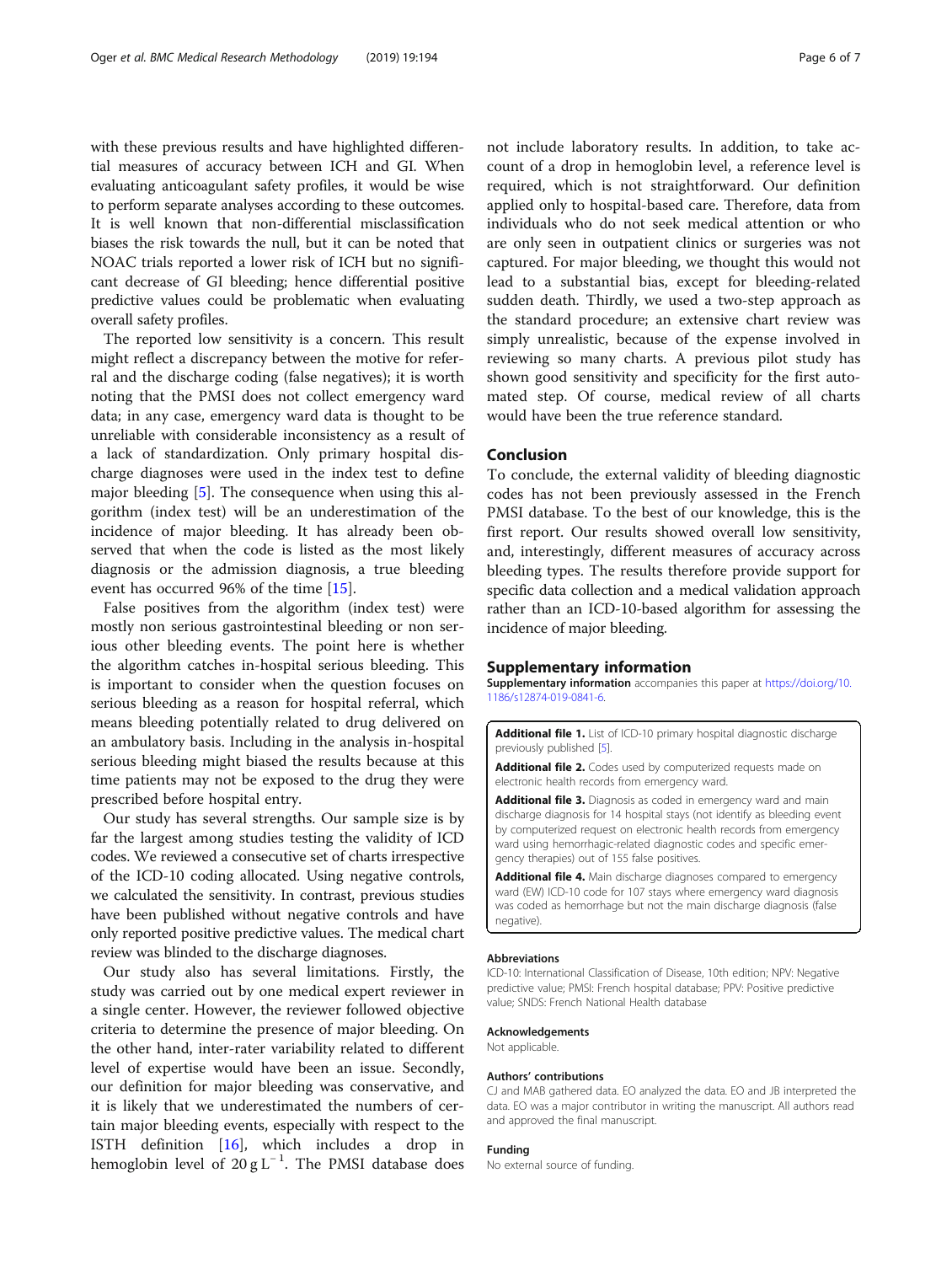<span id="page-5-0"></span>with these previous results and have highlighted differential measures of accuracy between ICH and GI. When evaluating anticoagulant safety profiles, it would be wise to perform separate analyses according to these outcomes. It is well known that non-differential misclassification biases the risk towards the null, but it can be noted that NOAC trials reported a lower risk of ICH but no significant decrease of GI bleeding; hence differential positive predictive values could be problematic when evaluating overall safety profiles.

The reported low sensitivity is a concern. This result might reflect a discrepancy between the motive for referral and the discharge coding (false negatives); it is worth noting that the PMSI does not collect emergency ward data; in any case, emergency ward data is thought to be unreliable with considerable inconsistency as a result of a lack of standardization. Only primary hospital discharge diagnoses were used in the index test to define major bleeding [\[5](#page-6-0)]. The consequence when using this algorithm (index test) will be an underestimation of the incidence of major bleeding. It has already been observed that when the code is listed as the most likely diagnosis or the admission diagnosis, a true bleeding event has occurred 96% of the time [[15\]](#page-6-0).

False positives from the algorithm (index test) were mostly non serious gastrointestinal bleeding or non serious other bleeding events. The point here is whether the algorithm catches in-hospital serious bleeding. This is important to consider when the question focuses on serious bleeding as a reason for hospital referral, which means bleeding potentially related to drug delivered on an ambulatory basis. Including in the analysis in-hospital serious bleeding might biased the results because at this time patients may not be exposed to the drug they were prescribed before hospital entry.

Our study has several strengths. Our sample size is by far the largest among studies testing the validity of ICD codes. We reviewed a consecutive set of charts irrespective of the ICD-10 coding allocated. Using negative controls, we calculated the sensitivity. In contrast, previous studies have been published without negative controls and have only reported positive predictive values. The medical chart review was blinded to the discharge diagnoses.

Our study also has several limitations. Firstly, the study was carried out by one medical expert reviewer in a single center. However, the reviewer followed objective criteria to determine the presence of major bleeding. On the other hand, inter-rater variability related to different level of expertise would have been an issue. Secondly, our definition for major bleeding was conservative, and it is likely that we underestimated the numbers of certain major bleeding events, especially with respect to the ISTH definition  $[16]$  $[16]$ , which includes a drop hemoglobin level of 20 g L<sup>-1</sup>. The PMSI database does

not include laboratory results. In addition, to take account of a drop in hemoglobin level, a reference level is required, which is not straightforward. Our definition applied only to hospital-based care. Therefore, data from individuals who do not seek medical attention or who are only seen in outpatient clinics or surgeries was not captured. For major bleeding, we thought this would not lead to a substantial bias, except for bleeding-related sudden death. Thirdly, we used a two-step approach as the standard procedure; an extensive chart review was simply unrealistic, because of the expense involved in reviewing so many charts. A previous pilot study has shown good sensitivity and specificity for the first automated step. Of course, medical review of all charts would have been the true reference standard.

## Conclusion

To conclude, the external validity of bleeding diagnostic codes has not been previously assessed in the French PMSI database. To the best of our knowledge, this is the first report. Our results showed overall low sensitivity, and, interestingly, different measures of accuracy across bleeding types. The results therefore provide support for specific data collection and a medical validation approach rather than an ICD-10-based algorithm for assessing the incidence of major bleeding.

#### Supplementary information

Supplementary information accompanies this paper at [https://doi.org/10.](https://doi.org/10.1186/s12874-019-0841-6) [1186/s12874-019-0841-6.](https://doi.org/10.1186/s12874-019-0841-6)

Additional file 1. List of ICD-10 primary hospital diagnostic discharge previously published [\[5\]](#page-6-0).

Additional file 2. Codes used by computerized requests made on electronic health records from emergency ward.

Additional file 3. Diagnosis as coded in emergency ward and main discharge diagnosis for 14 hospital stays (not identify as bleeding event by computerized request on electronic health records from emergency ward using hemorrhagic-related diagnostic codes and specific emergency therapies) out of 155 false positives.

Additional file 4. Main discharge diagnoses compared to emergency ward (EW) ICD-10 code for 107 stays where emergency ward diagnosis was coded as hemorrhage but not the main discharge diagnosis (false negative).

#### Abbreviations

ICD-10: International Classification of Disease, 10th edition; NPV: Negative predictive value; PMSI: French hospital database; PPV: Positive predictive value; SNDS: French National Health database

#### Acknowledgements

Not applicable.

#### Authors' contributions

CJ and MAB gathered data. EO analyzed the data. EO and JB interpreted the data. EO was a major contributor in writing the manuscript. All authors read and approved the final manuscript.

## Funding

No external source of funding.